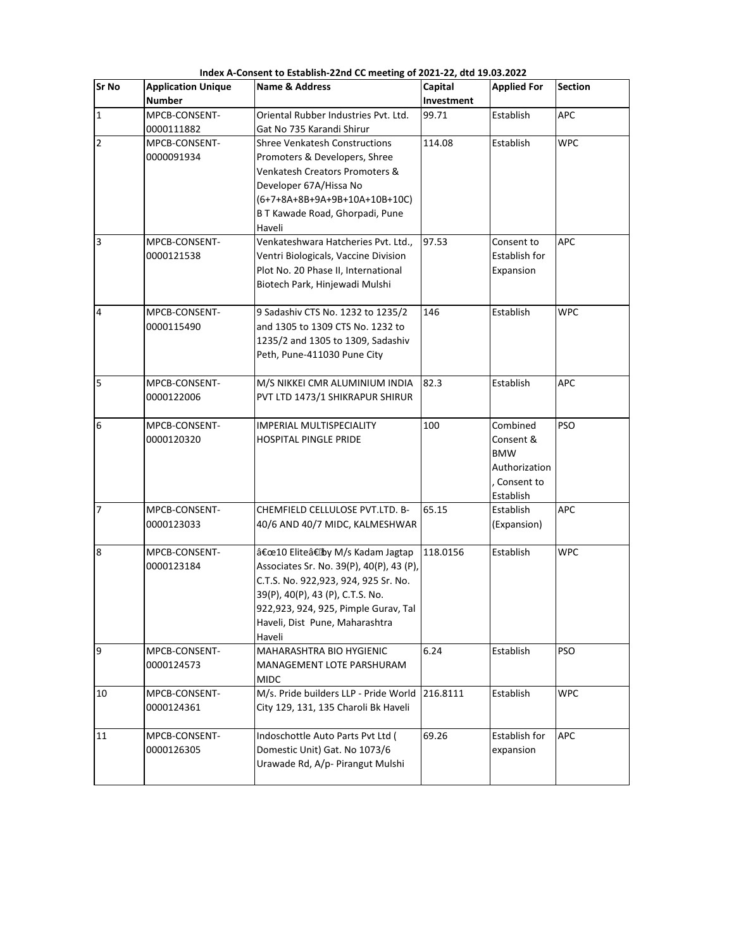| <b>Sr No</b>   | <b>Application Unique</b><br><b>Number</b> | <b>Name &amp; Address</b>                | Capital<br>Investment | <b>Applied For</b>   | <b>Section</b> |
|----------------|--------------------------------------------|------------------------------------------|-----------------------|----------------------|----------------|
| $\mathbf{1}$   | MPCB-CONSENT-                              | Oriental Rubber Industries Pvt. Ltd.     | 99.71                 | Establish            | APC            |
|                | 0000111882                                 | Gat No 735 Karandi Shirur                |                       |                      |                |
| $\overline{2}$ | MPCB-CONSENT-                              | <b>Shree Venkatesh Constructions</b>     | 114.08                | Establish            | <b>WPC</b>     |
|                | 0000091934                                 | Promoters & Developers, Shree            |                       |                      |                |
|                |                                            | Venkatesh Creators Promoters &           |                       |                      |                |
|                |                                            | Developer 67A/Hissa No                   |                       |                      |                |
|                |                                            | (6+7+8A+8B+9A+9B+10A+10B+10C)            |                       |                      |                |
|                |                                            | B T Kawade Road, Ghorpadi, Pune          |                       |                      |                |
|                |                                            | Haveli                                   |                       |                      |                |
| 3              | MPCB-CONSENT-                              | Venkateshwara Hatcheries Pvt. Ltd.,      | 97.53                 | Consent to           | <b>APC</b>     |
|                | 0000121538                                 | Ventri Biologicals, Vaccine Division     |                       | <b>Establish for</b> |                |
|                |                                            | Plot No. 20 Phase II, International      |                       | Expansion            |                |
|                |                                            | Biotech Park, Hinjewadi Mulshi           |                       |                      |                |
|                |                                            |                                          |                       |                      |                |
| 4              | MPCB-CONSENT-                              | 9 Sadashiv CTS No. 1232 to 1235/2        | 146                   | Establish            | <b>WPC</b>     |
|                | 0000115490                                 | and 1305 to 1309 CTS No. 1232 to         |                       |                      |                |
|                |                                            | 1235/2 and 1305 to 1309, Sadashiv        |                       |                      |                |
|                |                                            | Peth, Pune-411030 Pune City              |                       |                      |                |
|                |                                            |                                          |                       |                      |                |
| 5              | MPCB-CONSENT-                              | M/S NIKKEI CMR ALUMINIUM INDIA           | 82.3                  | Establish            | APC            |
|                | 0000122006                                 | PVT LTD 1473/1 SHIKRAPUR SHIRUR          |                       |                      |                |
|                |                                            |                                          |                       |                      |                |
| 6              | MPCB-CONSENT-                              | <b>IMPERIAL MULTISPECIALITY</b>          | 100                   | Combined             | <b>PSO</b>     |
|                | 0000120320                                 | HOSPITAL PINGLE PRIDE                    |                       | Consent &            |                |
|                |                                            |                                          |                       | <b>BMW</b>           |                |
|                |                                            |                                          |                       | Authorization        |                |
|                |                                            |                                          |                       | Consent to           |                |
|                |                                            |                                          |                       | Establish            |                |
| $\overline{7}$ | MPCB-CONSENT-                              | CHEMFIELD CELLULOSE PVT.LTD. B-          | 65.15                 | Establish            | <b>APC</b>     |
|                | 0000123033                                 | 40/6 AND 40/7 MIDC, KALMESHWAR           |                       | (Expansion)          |                |
|                |                                            |                                          |                       |                      |                |
| 8              | MPCB-CONSENT-                              | "10 Elite†by M/s Kadam Jagtap            | 118.0156              | Establish            | <b>WPC</b>     |
|                | 0000123184                                 | Associates Sr. No. 39(P), 40(P), 43 (P), |                       |                      |                |
|                |                                            | C.T.S. No. 922,923, 924, 925 Sr. No.     |                       |                      |                |
|                |                                            | 39(P), 40(P), 43 (P), C.T.S. No.         |                       |                      |                |
|                |                                            | 922,923, 924, 925, Pimple Gurav, Tal     |                       |                      |                |
|                |                                            | Haveli, Dist Pune, Maharashtra<br>Haveli |                       |                      |                |
| 9              | MPCB-CONSENT-                              | MAHARASHTRA BIO HYGIENIC                 | 6.24                  | Establish            | <b>PSO</b>     |
|                | 0000124573                                 | MANAGEMENT LOTE PARSHURAM                |                       |                      |                |
|                |                                            | <b>MIDC</b>                              |                       |                      |                |
| 10             | MPCB-CONSENT-                              | M/s. Pride builders LLP - Pride World    | 216.8111              | Establish            | <b>WPC</b>     |
|                | 0000124361                                 | City 129, 131, 135 Charoli Bk Haveli     |                       |                      |                |
|                |                                            |                                          |                       |                      |                |
| 11             | MPCB-CONSENT-                              | Indoschottle Auto Parts Pvt Ltd (        | 69.26                 | Establish for        | <b>APC</b>     |
|                | 0000126305                                 | Domestic Unit) Gat. No 1073/6            |                       | expansion            |                |
|                |                                            | Urawade Rd, A/p- Pirangut Mulshi         |                       |                      |                |
|                |                                            |                                          |                       |                      |                |

 **Index A-Consent to Establish-22nd CC meeting of 2021-22, dtd 19.03.2022**